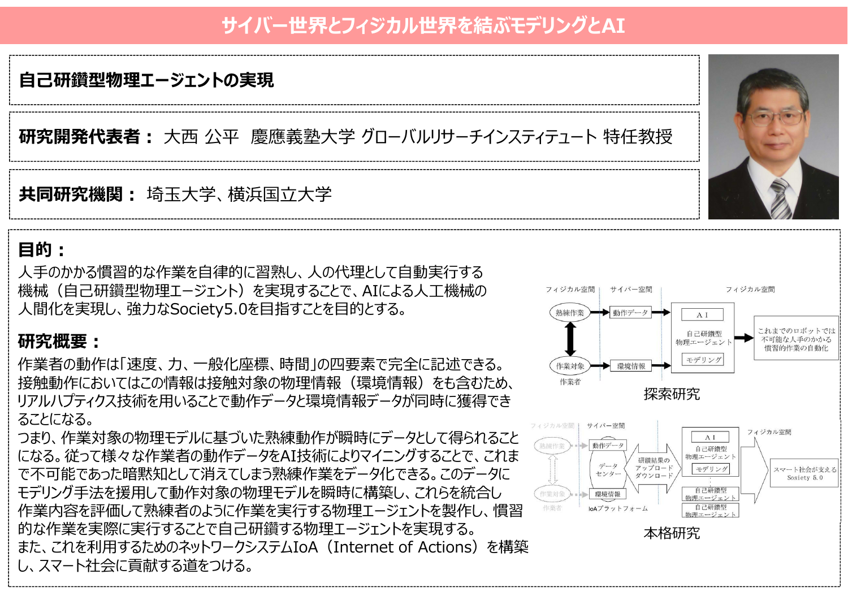# **サイバー世界とフィジカル世界を結ぶモデリングとAI**

## **自己研鑽型物理エージェントの実現**

**研究開発代表者:** 大西 公平 慶應義塾大学 グローバルリサーチインスティテュート 特任教授

**共同研究機関:** 埼玉大学、横浜国立大学

#### **目的:**

人手のかかる慣習的な作業を自律的に習熟し、人の代理として自動実行する 機械(自己研鑽型物理エージェント)を実現することで、AIによる人工機械の 人間化を実現し、強力なSociety5.0を目指すことを目的とする。

### **研究概要:**

作業者の動作は「速度、力、一般化座標、時間」の四要素で完全に記述できる。 接触動作においてはこの情報は接触対象の物理情報(環境情報)をも含むため、 リアルハプティクス技術を用いることで動作データと環境情報データが同時に獲得でき ることになる。

つまり、作業対象の物理モデルに基づいた熟練動作が瞬時にデータとして得られること になる。従って様々な作業者の動作データをAI技術によりマイニングすることで、これま で不可能であった暗黙知として消えてしまう熟練作業をデータ化できる。このデータに モデリング手法を援用して動作対象の物理モデルを瞬時に構築し、これらを統合し 作業内容を評価して熟練者のように作業を実行する物理エージェントを製作し、慣習 的な作業を実際に実行することで自己研鑽する物理エージェントを実現する。 また、これを利用するためのネットワークシステムIoA(Internet of Actions)を構築 し、スマート社会に貢献する道をつける。